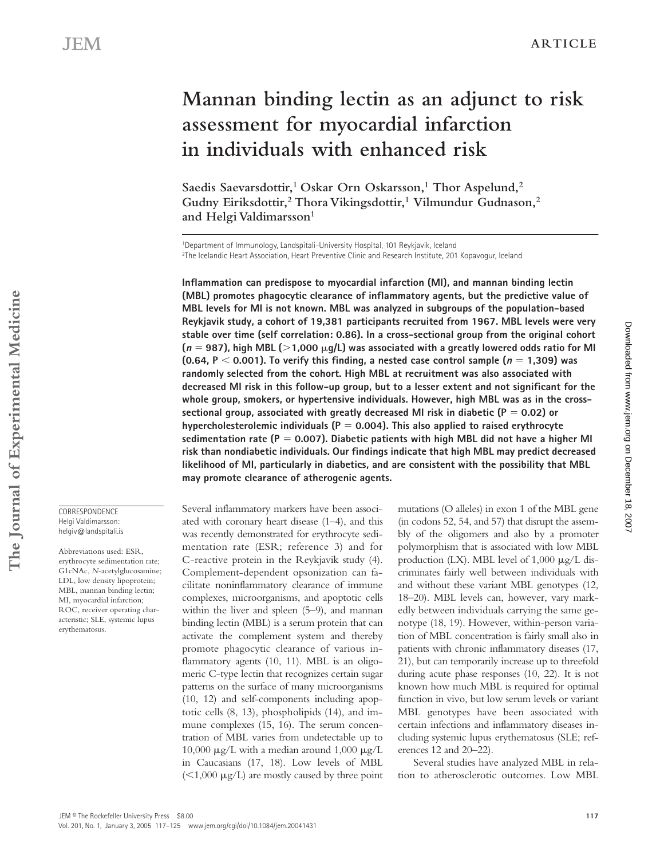# **Mannan binding lectin as an adjunct to risk assessment for myocardial infarction in individuals with enhanced risk**

Saedis Saevarsdottir,<sup>1</sup> Oskar Orn Oskarsson,<sup>1</sup> Thor Aspelund,<sup>2</sup> **Gudny Eiriksdottir,2 Thora Vikingsdottir,1 Vilmundur Gudnason,2**  and Helgi Valdimarsson<sup>1</sup>

1Department of Immunology, Landspitali-University Hospital, 101 Reykjavik, Iceland 2The Icelandic Heart Association, Heart Preventive Clinic and Research Institute, 201 Kopavogur, Iceland

**Inflammation can predispose to myocardial infarction (MI), and mannan binding lectin (MBL) promotes phagocytic clearance of inflammatory agents, but the predictive value of MBL levels for MI is not known. MBL was analyzed in subgroups of the population-based Reykjavik study, a cohort of 19,381 participants recruited from 1967. MBL levels were very stable over time (self correlation: 0.86). In a cross-sectional group from the original cohort**  ( $\bm{n}$  = 987), high MBL ( $>$ 1,000  $\mu$ g/L) was associated with a greatly lowered odds ratio for MI **(0.64, P**  $\leq$  0.001). To verify this finding, a nested case control sample ( $n = 1,309$ ) was **randomly selected from the cohort. High MBL at recruitment was also associated with decreased MI risk in this follow-up group, but to a lesser extent and not significant for the whole group, smokers, or hypertensive individuals. However, high MBL was as in the crosssectional group, associated with greatly decreased MI risk in diabetic (** $P = 0.02$ **) or hypercholesterolemic individuals (P 0.004). This also applied to raised erythrocyte**  sedimentation rate  $(P = 0.007)$ . Diabetic patients with high MBL did not have a higher MI **risk than nondiabetic individuals. Our findings indicate that high MBL may predict decreased likelihood of MI, particularly in diabetics, and are consistent with the possibility that MBL may promote clearance of atherogenic agents.**

Several inflammatory markers have been associated with coronary heart disease (1–4), and this was recently demonstrated for erythrocyte sedimentation rate (ESR; reference 3) and for C-reactive protein in the Reykjavik study (4). Complement-dependent opsonization can facilitate noninflammatory clearance of immune complexes, microorganisms, and apoptotic cells within the liver and spleen (5–9), and mannan binding lectin (MBL) is a serum protein that can activate the complement system and thereby promote phagocytic clearance of various inflammatory agents (10, 11). MBL is an oligomeric C-type lectin that recognizes certain sugar patterns on the surface of many microorganisms (10, 12) and self-components including apoptotic cells (8, 13), phospholipids (14), and immune complexes (15, 16). The serum concentration of MBL varies from undetectable up to 10,000  $\mu$ g/L with a median around 1,000  $\mu$ g/L in Caucasians (17, 18). Low levels of MBL  $(<1,000 \mu g/L$ ) are mostly caused by three point mutations (O alleles) in exon 1 of the MBL gene (in codons 52, 54, and 57) that disrupt the assembly of the oligomers and also by a promoter polymorphism that is associated with low MBL production (LX). MBL level of  $1,000 \mu g/L$  discriminates fairly well between individuals with and without these variant MBL genotypes (12, 18–20). MBL levels can, however, vary markedly between individuals carrying the same genotype (18, 19). However, within-person variation of MBL concentration is fairly small also in patients with chronic inflammatory diseases (17, 21), but can temporarily increase up to threefold during acute phase responses (10, 22). It is not known how much MBL is required for optimal function in vivo, but low serum levels or variant MBL genotypes have been associated with certain infections and inflammatory diseases including systemic lupus erythematosus (SLE; references 12 and 20–22).

Several studies have analyzed MBL in relation to atherosclerotic outcomes. Low MBL

CORRESPONDENCE Helgi Valdimarsson: helgiv@landspitali.is

Abbreviations used: ESR, erythrocyte sedimentation rate; G1cNAc, *N*-acetylglucosamine; LDL, low density lipoprotein; MBL, mannan binding lectin; MI, myocardial infarction; ROC, receiver operating characteristic; SLE, systemic lupus erythematosus.

Downloadedfrom [www.jem.org](http://www.jem.org) on December 18, 2007

Downloaded from www.jem.org on December 18, 2007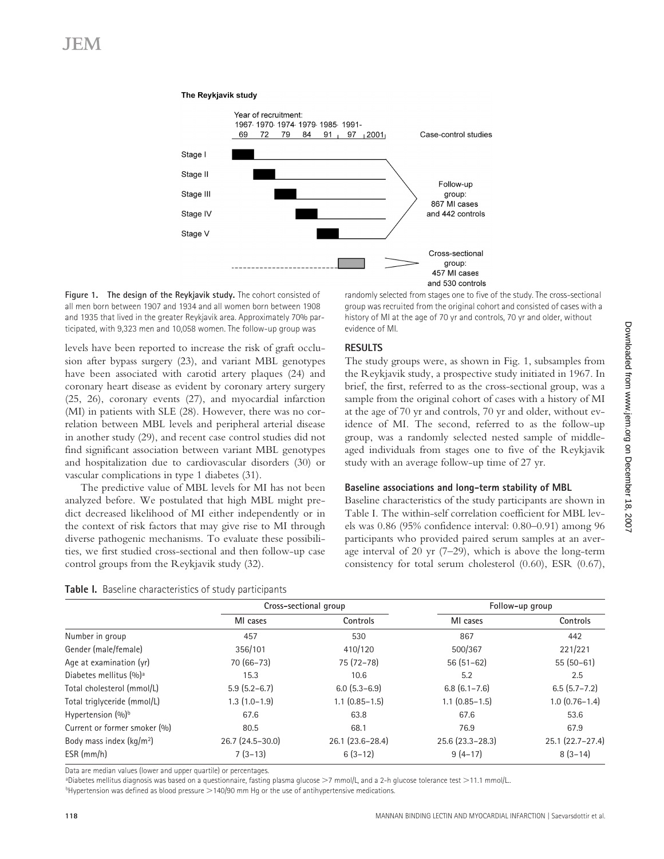

### **Figure 1. The design of the Reykjavik study.** The cohort consisted of all men born between 1907 and 1934 and all women born between 1908 and 1935 that lived in the greater Reykjavik area. Approximately 70% participated, with 9,323 men and 10,058 women. The follow-up group was

The Reykjavik study

levels have been reported to increase the risk of graft occlusion after bypass surgery (23), and variant MBL genotypes have been associated with carotid artery plaques (24) and coronary heart disease as evident by coronary artery surgery (25, 26), coronary events (27), and myocardial infarction (MI) in patients with SLE (28). However, there was no correlation between MBL levels and peripheral arterial disease in another study (29), and recent case control studies did not find significant association between variant MBL genotypes and hospitalization due to cardiovascular disorders (30) or vascular complications in type 1 diabetes (31).

The predictive value of MBL levels for MI has not been analyzed before. We postulated that high MBL might predict decreased likelihood of MI either independently or in the context of risk factors that may give rise to MI through diverse pathogenic mechanisms. To evaluate these possibilities, we first studied cross-sectional and then follow-up case control groups from the Reykjavik study (32).

### **Table I.** Baseline characteristics of study participants

randomly selected from stages one to five of the study. The cross-sectional group was recruited from the original cohort and consisted of cases with a history of MI at the age of 70 yr and controls, 70 yr and older, without evidence of MI.

# **RESULTS**

The study groups were, as shown in Fig. 1, subsamples from the Reykjavik study, a prospective study initiated in 1967. In brief, the first, referred to as the cross-sectional group, was a sample from the original cohort of cases with a history of MI at the age of 70 yr and controls, 70 yr and older, without evidence of MI. The second, referred to as the follow-up group, was a randomly selected nested sample of middleaged individuals from stages one to five of the Reykjavik study with an average follow-up time of 27 yr.

### **Baseline associations and long-term stability of MBL**

Baseline characteristics of the study participants are shown in Table I. The within-self correlation coefficient for MBL levels was 0.86 (95% confidence interval: 0.80–0.91) among 96 participants who provided paired serum samples at an average interval of 20 yr (7–29), which is above the long-term consistency for total serum cholesterol (0.60), ESR (0.67),

|                                    | Cross-sectional group |                      | Follow-up group          |                   |
|------------------------------------|-----------------------|----------------------|--------------------------|-------------------|
|                                    | MI cases              | Controls             | MI cases                 | Controls          |
| Number in group                    | 457                   | 530                  | 867                      | 442               |
| Gender (male/female)               | 356/101               | 410/120              | 500/367                  | 221/221           |
| Age at examination (yr)            | $70(66-73)$           | 75 (72-78)           | $56(51-62)$              | $55(50-61)$       |
| Diabetes mellitus (%) <sup>a</sup> | 15.3                  | 10.6                 | 5.2                      | 2.5               |
| Total cholesterol (mmol/L)         | $5.9(5.2-6.7)$        | $6.0$ (5.3-6.9)      | $6.8(6.1 - 7.6)$         | $6.5(5.7 - 7.2)$  |
| Total triglyceride (mmol/L)        | $1.3(1.0-1.9)$        | $1.1$ $(0.85 - 1.5)$ | $1.1$ $(0.85 - 1.5)$     | $1.0(0.76-1.4)$   |
| Hypertension (%) <sup>b</sup>      | 67.6                  | 63.8                 | 67.6                     | 53.6              |
| Current or former smoker (%)       | 80.5                  | 68.1                 | 76.9                     | 67.9              |
| Body mass index $(kq/m2)$          | $26.7(24.5-30.0)$     | 26.1 (23.6-28.4)     | $25.6$ ( $23.3 - 28.3$ ) | $25.1(22.7-27.4)$ |
| ESR (mm/h)                         | $7(3-13)$             | $6(3-12)$            | $9(4-17)$                | $8(3-14)$         |

Data are median values (lower and upper quartile) or percentages.

ªDiabetes mellitus diagnosis was based on a questionnaire, fasting plasma glucose >7 mmol/L, and a 2-h glucose tolerance test >11.1 mmol/L.

 $b$ Hypertension was defined as blood pressure  $>$ 140/90 mm Hg or the use of antihypertensive medications.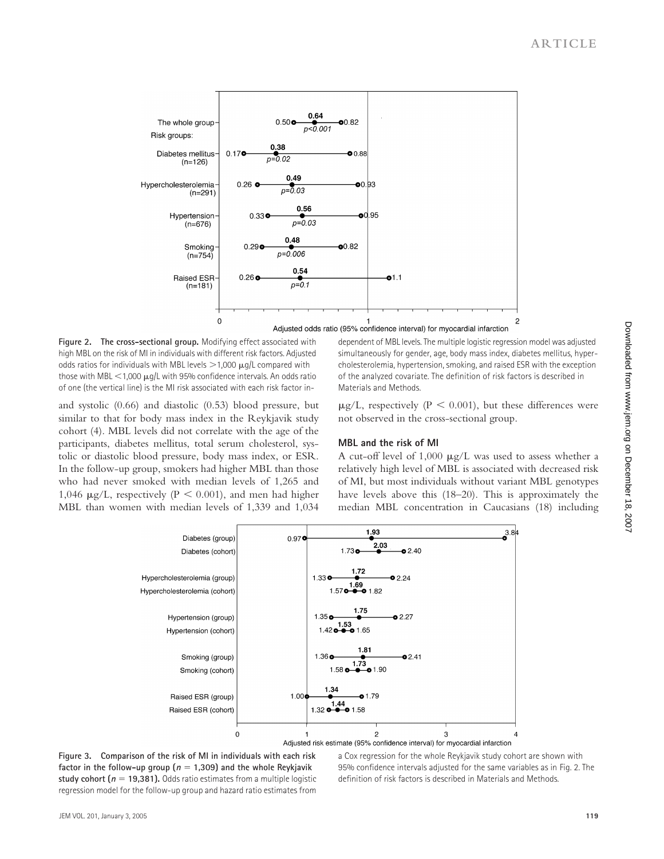

Adjusted odds ratio (95% confidence interval) for myocardial infarction

**Figure 2. The cross-sectional group.** Modifying effect associated with high MBL on the risk of MI in individuals with different risk factors. Adjusted odds ratios for individuals with MBL levels  $>$  1,000  $\mu$ g/L compared with those with MBL  $<$  1,000  $\mu$ g/L with 95% confidence intervals. An odds ratio of one (the vertical line) is the MI risk associated with each risk factor in-

and systolic (0.66) and diastolic (0.53) blood pressure, but similar to that for body mass index in the Reykjavik study cohort (4). MBL levels did not correlate with the age of the participants, diabetes mellitus, total serum cholesterol, systolic or diastolic blood pressure, body mass index, or ESR. In the follow-up group, smokers had higher MBL than those who had never smoked with median levels of 1,265 and 1,046  $\mu$ g/L, respectively (P < 0.001), and men had higher MBL than women with median levels of 1,339 and 1,034

dependent of MBL levels. The multiple logistic regression model was adjusted simultaneously for gender, age, body mass index, diabetes mellitus, hypercholesterolemia, hypertension, smoking, and raised ESR with the exception of the analyzed covariate. The definition of risk factors is described in Materials and Methods.

 $\mu$ g/L, respectively (P < 0.001), but these differences were not observed in the cross-sectional group.

# **MBL and the risk of MI**

A cut-off level of  $1,000 \mu g/L$  was used to assess whether a relatively high level of MBL is associated with decreased risk of MI, but most individuals without variant MBL genotypes have levels above this (18–20). This is approximately the median MBL concentration in Caucasians (18) including



**Figure 3. Comparison of the risk of MI in individuals with each risk factor in the follow-up group (** $n = 1,309$ **) and the whole Reykjavik study cohort (** $n = 19,381$ **).** Odds ratio estimates from a multiple logistic regression model for the follow-up group and hazard ratio estimates from

a Cox regression for the whole Reykjavik study cohort are shown with 95% confidence intervals adjusted for the same variables as in Fig. 2. The definition of risk factors is described in Materials and Methods.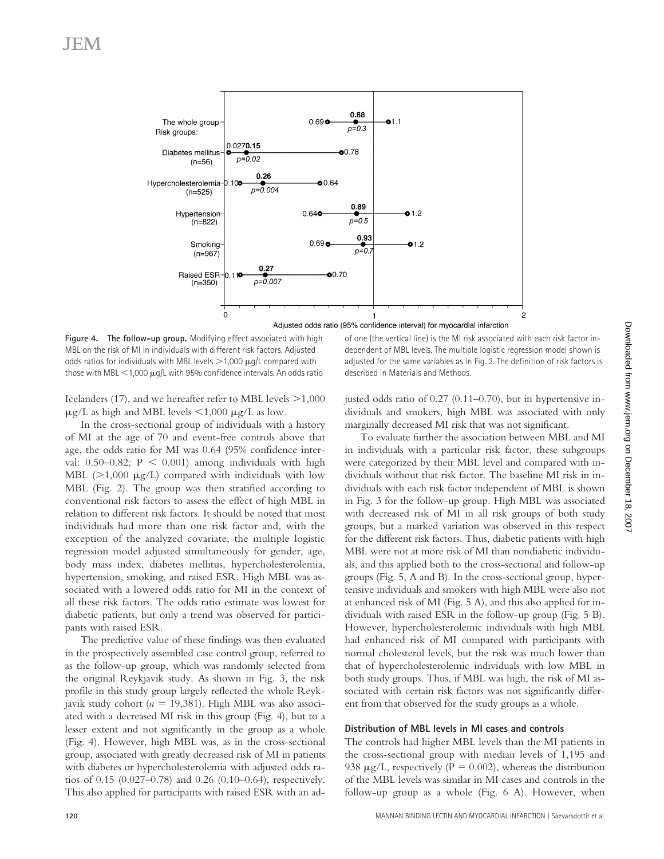

**Figure 4. The follow-up group.** Modifying effect associated with high MBL on the risk of MI in individuals with different risk factors. Adjusted odds ratios for individuals with MBL levels  $>$  1,000  $\mu$ g/L compared with those with MBL  $\leq 1,000 \mu q/L$  with 95% confidence intervals. An odds ratio

Icelanders (17), and we hereafter refer to MBL levels  $\geq$  1,000  $\mu$ g/L as high and MBL levels <1,000  $\mu$ g/L as low.

In the cross-sectional group of individuals with a history of MI at the age of 70 and event-free controls above that age, the odds ratio for MI was 0.64 (95% confidence interval:  $0.50-0.82$ ;  $P < 0.001$ ) among individuals with high MBL  $(>1,000 \text{ }\mu\text{g/L})$  compared with individuals with low MBL (Fig. 2). The group was then stratified according to conventional risk factors to assess the effect of high MBL in relation to different risk factors. It should be noted that most individuals had more than one risk factor and, with the exception of the analyzed covariate, the multiple logistic regression model adjusted simultaneously for gender, age, body mass index, diabetes mellitus, hypercholesterolemia, hypertension, smoking, and raised ESR. High MBL was associated with a lowered odds ratio for MI in the context of all these risk factors. The odds ratio estimate was lowest for diabetic patients, but only a trend was observed for participants with raised ESR.

The predictive value of these findings was then evaluated in the prospectively assembled case control group, referred to as the follow-up group, which was randomly selected from the original Reykjavik study. As shown in Fig. 3, the risk profile in this study group largely reflected the whole Reykjavik study cohort ( $n = 19,381$ ). High MBL was also associated with a decreased MI risk in this group (Fig. 4), but to a lesser extent and not significantly in the group as a whole (Fig. 4). However, high MBL was, as in the cross-sectional group, associated with greatly decreased risk of MI in patients with diabetes or hypercholesterolemia with adjusted odds ratios of 0.15 (0.027–0.78) and 0.26 (0.10–0.64), respectively. This also applied for participants with raised ESR with an ad-

of one (the vertical line) is the MI risk associated with each risk factor independent of MBL levels. The multiple logistic regression model shown is adjusted for the same variables as in Fig. 2. The definition of risk factors is described in Materials and Methods.

justed odds ratio of 0.27 (0.11–0.70), but in hypertensive individuals and smokers, high MBL was associated with only marginally decreased MI risk that was not significant.

To evaluate further the association between MBL and MI in individuals with a particular risk factor, these subgroups were categorized by their MBL level and compared with individuals without that risk factor. The baseline MI risk in individuals with each risk factor independent of MBL is shown in Fig. 3 for the follow-up group. High MBL was associated with decreased risk of MI in all risk groups of both study groups, but a marked variation was observed in this respect for the different risk factors. Thus, diabetic patients with high MBL were not at more risk of MI than nondiabetic individuals, and this applied both to the cross-sectional and follow-up groups (Fig. 5, A and B). In the cross-sectional group, hypertensive individuals and smokers with high MBL were also not at enhanced risk of MI (Fig. 5 A), and this also applied for individuals with raised ESR in the follow-up group (Fig. 5 B). However, hypercholesterolemic individuals with high MBL had enhanced risk of MI compared with participants with normal cholesterol levels, but the risk was much lower than that of hypercholesterolemic individuals with low MBL in both study groups. Thus, if MBL was high, the risk of MI associated with certain risk factors was not significantly different from that observed for the study groups as a whole.

# **Distribution of MBL levels in MI cases and controls**

The controls had higher MBL levels than the MI patients in the cross-sectional group with median levels of 1,195 and 938  $\mu$ g/L, respectively (P = 0.002), whereas the distribution of the MBL levels was similar in MI cases and controls in the follow-up group as a whole (Fig. 6 A). However, when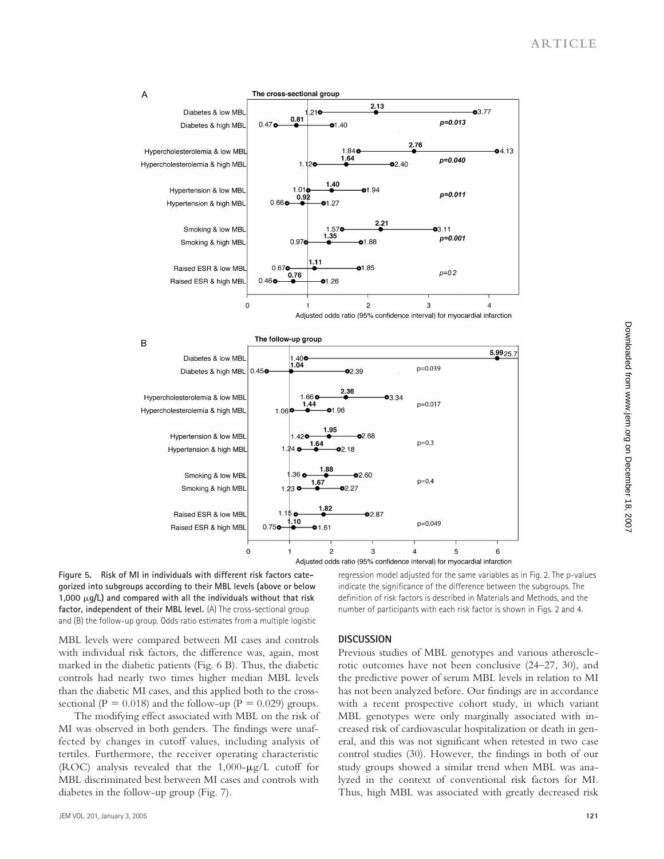

**Figure 5. Risk of MI in individuals with different risk factors categorized into subgroups according to their MBL levels (above or below**  1,000  $\mu$ g/L) and compared with all the individuals without that risk **factor, independent of their MBL level.** (A) The cross-sectional group and (B) the follow-up group. Odds ratio estimates from a multiple logistic

regression model adjusted for the same variables as in Fig. 2. The p-values indicate the significance of the difference between the subgroups. The definition of risk factors is described in Materials and Methods, and the number of participants with each risk factor is shown in Figs. 2 and 4.

MBL levels were compared between MI cases and controls with individual risk factors, the difference was, again, most marked in the diabetic patients (Fig. 6 B). Thus, the diabetic controls had nearly two times higher median MBL levels than the diabetic MI cases, and this applied both to the crosssectional ( $P = 0.018$ ) and the follow-up ( $P = 0.029$ ) groups.

The modifying effect associated with MBL on the risk of MI was observed in both genders. The findings were unaffected by changes in cutoff values, including analysis of tertiles. Furthermore, the receiver operating characteristic (ROC) analysis revealed that the  $1,000-\mu g/L$  cutoff for MBL discriminated best between MI cases and controls with diabetes in the follow-up group (Fig. 7).

## **DISCUSSION**

Previous studies of MBL genotypes and various atherosclerotic outcomes have not been conclusive (24–27, 30), and the predictive power of serum MBL levels in relation to MI has not been analyzed before. Our findings are in accordance with a recent prospective cohort study, in which variant MBL genotypes were only marginally associated with increased risk of cardiovascular hospitalization or death in general, and this was not significant when retested in two case control studies (30). However, the findings in both of our study groups showed a similar trend when MBL was analyzed in the context of conventional risk factors for MI. Thus, high MBL was associated with greatly decreased risk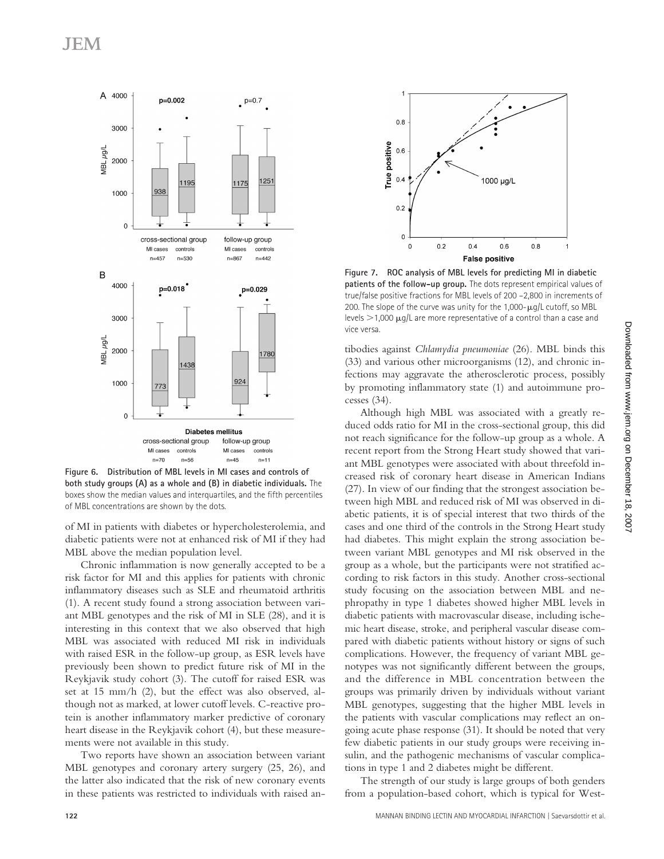# JEM



**Figure 6. Distribution of MBL levels in MI cases and controls of both study groups (A) as a whole and (B) in diabetic individuals.** The boxes show the median values and interquartiles, and the fifth percentiles of MBL concentrations are shown by the dots.

of MI in patients with diabetes or hypercholesterolemia, and diabetic patients were not at enhanced risk of MI if they had MBL above the median population level.

Chronic inflammation is now generally accepted to be a risk factor for MI and this applies for patients with chronic inflammatory diseases such as SLE and rheumatoid arthritis (1). A recent study found a strong association between variant MBL genotypes and the risk of MI in SLE (28), and it is interesting in this context that we also observed that high MBL was associated with reduced MI risk in individuals with raised ESR in the follow-up group, as ESR levels have previously been shown to predict future risk of MI in the Reykjavik study cohort (3). The cutoff for raised ESR was set at 15 mm/h (2), but the effect was also observed, although not as marked, at lower cutoff levels. C-reactive protein is another inflammatory marker predictive of coronary heart disease in the Reykjavik cohort (4), but these measurements were not available in this study.

Two reports have shown an association between variant MBL genotypes and coronary artery surgery (25, 26), and the latter also indicated that the risk of new coronary events in these patients was restricted to individuals with raised an-



**Figure 7. ROC analysis of MBL levels for predicting MI in diabetic patients of the follow-up group.** The dots represent empirical values of true/false positive fractions for MBL levels of 200 –2,800 in increments of 200. The slope of the curve was unity for the  $1,000$ - $\mu q/L$  cutoff, so MBL levels  $>$  1,000  $\mu$ g/L are more representative of a control than a case and vice versa.

tibodies against *Chlamydia pneumoniae* (26). MBL binds this (33) and various other microorganisms (12), and chronic infections may aggravate the atherosclerotic process, possibly by promoting inflammatory state (1) and autoimmune processes (34).

Although high MBL was associated with a greatly reduced odds ratio for MI in the cross-sectional group, this did not reach significance for the follow-up group as a whole. A recent report from the Strong Heart study showed that variant MBL genotypes were associated with about threefold increased risk of coronary heart disease in American Indians (27). In view of our finding that the strongest association between high MBL and reduced risk of MI was observed in diabetic patients, it is of special interest that two thirds of the cases and one third of the controls in the Strong Heart study had diabetes. This might explain the strong association between variant MBL genotypes and MI risk observed in the group as a whole, but the participants were not stratified according to risk factors in this study. Another cross-sectional study focusing on the association between MBL and nephropathy in type 1 diabetes showed higher MBL levels in diabetic patients with macrovascular disease, including ischemic heart disease, stroke, and peripheral vascular disease compared with diabetic patients without history or signs of such complications. However, the frequency of variant MBL genotypes was not significantly different between the groups, and the difference in MBL concentration between the groups was primarily driven by individuals without variant MBL genotypes, suggesting that the higher MBL levels in the patients with vascular complications may reflect an ongoing acute phase response (31). It should be noted that very few diabetic patients in our study groups were receiving insulin, and the pathogenic mechanisms of vascular complications in type 1 and 2 diabetes might be different.

The strength of our study is large groups of both genders from a population-based cohort, which is typical for West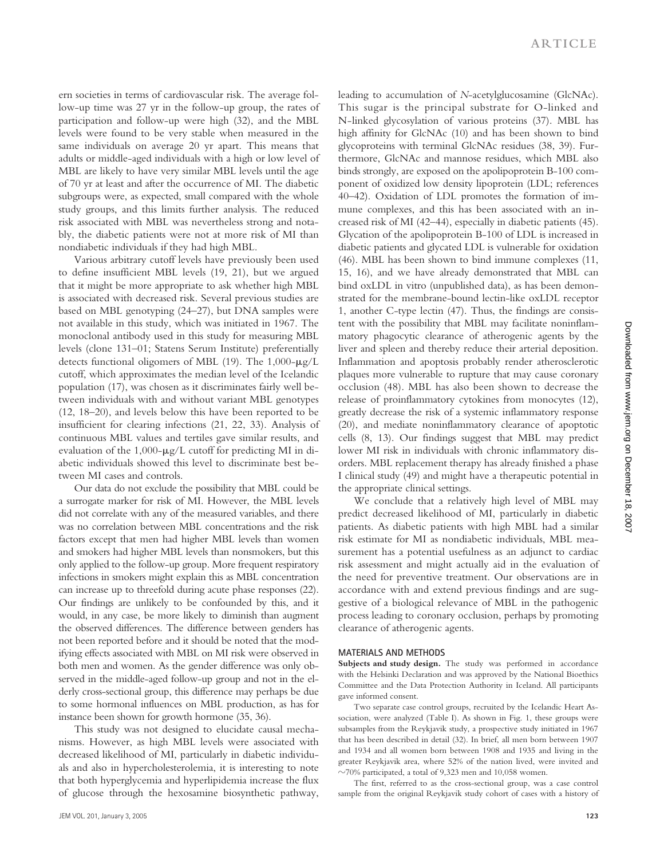ern societies in terms of cardiovascular risk. The average follow-up time was 27 yr in the follow-up group, the rates of participation and follow-up were high (32), and the MBL levels were found to be very stable when measured in the same individuals on average 20 yr apart. This means that adults or middle-aged individuals with a high or low level of MBL are likely to have very similar MBL levels until the age of 70 yr at least and after the occurrence of MI. The diabetic subgroups were, as expected, small compared with the whole study groups, and this limits further analysis. The reduced risk associated with MBL was nevertheless strong and notably, the diabetic patients were not at more risk of MI than nondiabetic individuals if they had high MBL.

Various arbitrary cutoff levels have previously been used to define insufficient MBL levels (19, 21), but we argued that it might be more appropriate to ask whether high MBL is associated with decreased risk. Several previous studies are based on MBL genotyping (24–27), but DNA samples were not available in this study, which was initiated in 1967. The monoclonal antibody used in this study for measuring MBL levels (clone 131–01; Statens Serum Institute) preferentially detects functional oligomers of MBL (19). The  $1,000-\mu g/L$ cutoff, which approximates the median level of the Icelandic population (17), was chosen as it discriminates fairly well between individuals with and without variant MBL genotypes (12, 18–20), and levels below this have been reported to be insufficient for clearing infections (21, 22, 33). Analysis of continuous MBL values and tertiles gave similar results, and evaluation of the  $1,000$ - $\mu$ g/L cutoff for predicting MI in diabetic individuals showed this level to discriminate best between MI cases and controls.

Our data do not exclude the possibility that MBL could be a surrogate marker for risk of MI. However, the MBL levels did not correlate with any of the measured variables, and there was no correlation between MBL concentrations and the risk factors except that men had higher MBL levels than women and smokers had higher MBL levels than nonsmokers, but this only applied to the follow-up group. More frequent respiratory infections in smokers might explain this as MBL concentration can increase up to threefold during acute phase responses (22). Our findings are unlikely to be confounded by this, and it would, in any case, be more likely to diminish than augment the observed differences. The difference between genders has not been reported before and it should be noted that the modifying effects associated with MBL on MI risk were observed in both men and women. As the gender difference was only observed in the middle-aged follow-up group and not in the elderly cross-sectional group, this difference may perhaps be due to some hormonal influences on MBL production, as has for instance been shown for growth hormone (35, 36).

This study was not designed to elucidate causal mechanisms. However, as high MBL levels were associated with decreased likelihood of MI, particularly in diabetic individuals and also in hypercholesterolemia, it is interesting to note that both hyperglycemia and hyperlipidemia increase the flux of glucose through the hexosamine biosynthetic pathway, leading to accumulation of *N*-acetylglucosamine (GlcNAc). This sugar is the principal substrate for O-linked and N-linked glycosylation of various proteins (37). MBL has high affinity for GlcNAc (10) and has been shown to bind glycoproteins with terminal GlcNAc residues (38, 39). Furthermore, GlcNAc and mannose residues, which MBL also binds strongly, are exposed on the apolipoprotein B-100 component of oxidized low density lipoprotein (LDL; references 40–42). Oxidation of LDL promotes the formation of immune complexes, and this has been associated with an increased risk of MI (42–44), especially in diabetic patients (45). Glycation of the apolipoprotein B-100 of LDL is increased in diabetic patients and glycated LDL is vulnerable for oxidation (46). MBL has been shown to bind immune complexes (11, 15, 16), and we have already demonstrated that MBL can bind oxLDL in vitro (unpublished data), as has been demonstrated for the membrane-bound lectin-like oxLDL receptor 1, another C-type lectin (47). Thus, the findings are consistent with the possibility that MBL may facilitate noninflammatory phagocytic clearance of atherogenic agents by the liver and spleen and thereby reduce their arterial deposition. Inflammation and apoptosis probably render atherosclerotic plaques more vulnerable to rupture that may cause coronary occlusion (48). MBL has also been shown to decrease the release of proinflammatory cytokines from monocytes (12), greatly decrease the risk of a systemic inflammatory response (20), and mediate noninflammatory clearance of apoptotic cells (8, 13). Our findings suggest that MBL may predict lower MI risk in individuals with chronic inflammatory disorders. MBL replacement therapy has already finished a phase I clinical study (49) and might have a therapeutic potential in the appropriate clinical settings.

We conclude that a relatively high level of MBL may predict decreased likelihood of MI, particularly in diabetic patients. As diabetic patients with high MBL had a similar risk estimate for MI as nondiabetic individuals, MBL measurement has a potential usefulness as an adjunct to cardiac risk assessment and might actually aid in the evaluation of the need for preventive treatment. Our observations are in accordance with and extend previous findings and are suggestive of a biological relevance of MBL in the pathogenic process leading to coronary occlusion, perhaps by promoting clearance of atherogenic agents.

#### **MATERIALS AND METHODS**

Subjects and study design. The study was performed in accordance with the Helsinki Declaration and was approved by the National Bioethics Committee and the Data Protection Authority in Iceland. All participants gave informed consent.

Two separate case control groups, recruited by the Icelandic Heart Association, were analyzed (Table I). As shown in Fig. 1, these groups were subsamples from the Reykjavik study, a prospective study initiated in 1967 that has been described in detail (32). In brief, all men born between 1907 and 1934 and all women born between 1908 and 1935 and living in the greater Reykjavik area, where 52% of the nation lived, were invited and  $\sim$ 70% participated, a total of 9,323 men and 10,058 women.

The first, referred to as the cross-sectional group, was a case control sample from the original Reykjavik study cohort of cases with a history of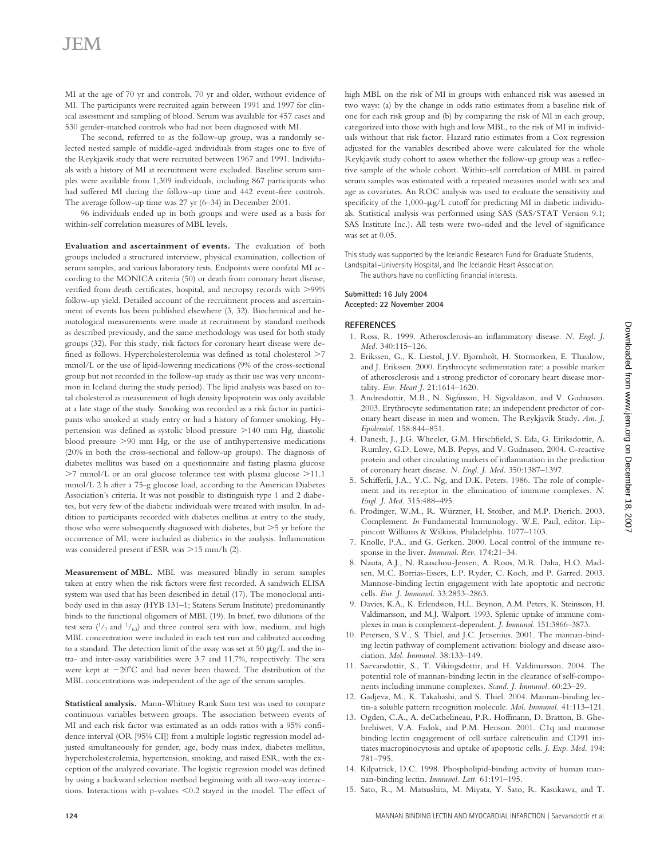# JEM

MI at the age of 70 yr and controls, 70 yr and older, without evidence of MI. The participants were recruited again between 1991 and 1997 for clinical assessment and sampling of blood. Serum was available for 457 cases and 530 gender-matched controls who had not been diagnosed with MI.

The second, referred to as the follow-up group, was a randomly selected nested sample of middle-aged individuals from stages one to five of the Reykjavik study that were recruited between 1967 and 1991. Individuals with a history of MI at recruitment were excluded. Baseline serum samples were available from 1,309 individuals, including 867 participants who had suffered MI during the follow-up time and 442 event-free controls. The average follow-up time was 27 yr (6–34) in December 2001.

96 individuals ended up in both groups and were used as a basis for within-self correlation measures of MBL levels.

**Evaluation and ascertainment of events.** The evaluation of both groups included a structured interview, physical examination, collection of serum samples, and various laboratory tests. Endpoints were nonfatal MI according to the MONICA criteria (50) or death from coronary heart disease, verified from death certificates, hospital, and necropsy records with >99% follow-up yield. Detailed account of the recruitment process and ascertainment of events has been published elsewhere (3, 32). Biochemical and hematological measurements were made at recruitment by standard methods as described previously, and the same methodology was used for both study groups (32). For this study, risk factors for coronary heart disease were defined as follows. Hypercholesterolemia was defined as total cholesterol >7 mmol/L or the use of lipid-lowering medications (9% of the cross-sectional group but not recorded in the follow-up study as their use was very uncommon in Iceland during the study period). The lipid analysis was based on total cholesterol as measurement of high density lipoprotein was only available at a late stage of the study. Smoking was recorded as a risk factor in participants who smoked at study entry or had a history of former smoking. Hypertension was defined as systolic blood pressure >140 mm Hg, diastolic blood pressure >90 mm Hg, or the use of antihypertensive medications (20% in both the cross-sectional and follow-up groups). The diagnosis of diabetes mellitus was based on a questionnaire and fasting plasma glucose >7 mmol/L or an oral glucose tolerance test with plasma glucose >11.1 mmol/L 2 h after a 75-g glucose load, according to the American Diabetes Association's criteria. It was not possible to distinguish type 1 and 2 diabetes, but very few of the diabetic individuals were treated with insulin. In addition to participants recorded with diabetes mellitus at entry to the study, those who were subsequently diagnosed with diabetes, but  $>5$  yr before the occurrence of MI, were included as diabetics in the analysis. Inflammation was considered present if ESR was  $>$ 15 mm/h (2).

**Measurement of MBL.** MBL was measured blindly in serum samples taken at entry when the risk factors were first recorded. A sandwich ELISA system was used that has been described in detail (17). The monoclonal antibody used in this assay (HYB 131–1; Statens Serum Institute) predominantly binds to the functional oligomers of MBL (19). In brief, two dilutions of the test sera  $\binom{1}{7}$  and  $\binom{1}{63}$  and three control sera with low, medium, and high MBL concentration were included in each test run and calibrated according to a standard. The detection limit of the assay was set at 50  $\mu$ g/L and the intra- and inter-assay variabilities were 3.7 and 11.7%, respectively. The sera were kept at  $-20^{\circ}$ C and had never been thawed. The distribution of the MBL concentrations was independent of the age of the serum samples.

**Statistical analysis.** Mann-Whitney Rank Sum test was used to compare continuous variables between groups. The association between events of MI and each risk factor was estimated as an odds ratios with a 95% confidence interval (OR [95% CI]) from a multiple logistic regression model adjusted simultaneously for gender, age, body mass index, diabetes mellitus, hypercholesterolemia, hypertension, smoking, and raised ESR, with the exception of the analyzed covariate. The logistic regression model was defined by using a backward selection method beginning with all two-way interactions. Interactions with p-values  $< 0.2$  stayed in the model. The effect of

high MBL on the risk of MI in groups with enhanced risk was assessed in two ways: (a) by the change in odds ratio estimates from a baseline risk of one for each risk group and (b) by comparing the risk of MI in each group, categorized into those with high and low MBL, to the risk of MI in individuals without that risk factor. Hazard ratio estimates from a Cox regression adjusted for the variables described above were calculated for the whole Reykjavik study cohort to assess whether the follow-up group was a reflective sample of the whole cohort. Within-self correlation of MBL in paired serum samples was estimated with a repeated measures model with sex and age as covariates. An ROC analysis was used to evaluate the sensitivity and specificity of the  $1,000$ - $\mu$ g/L cutoff for predicting MI in diabetic individuals. Statistical analysis was performed using SAS (SAS/STAT Version 9.1; SAS Institute Inc.). All tests were two-sided and the level of significance was set at 0.05.

This study was supported by the Icelandic Research Fund for Graduate Students, Landspitali-University Hospital, and The Icelandic Heart Association. The authors have no conflicting financial interests.

### **Submitted: 16 July 2004 Accepted: 22 November 2004**

#### **REFERENCES**

- 1. Ross, R. 1999. Atherosclerosis-an inflammatory disease. *N. Engl. J. Med.* 340:115–126.
- 2. Erikssen, G., K. Liestol, J.V. Bjornholt, H. Stormorken, E. Thaulow, and J. Erikssen. 2000. Erythrocyte sedimentation rate: a possible marker of atherosclerosis and a strong predictor of coronary heart disease mortality. *Eur. Heart J.* 21:1614–1620.
- 3. Andresdottir, M.B., N. Sigfusson, H. Sigvaldason, and V. Gudnason. 2003. Erythrocyte sedimentation rate; an independent predictor of coronary heart disease in men and women. The Reykjavik Study. *Am. J. Epidemiol.* 158:844–851.
- 4. Danesh, J., J.G. Wheeler, G.M. Hirschfield, S. Eda, G. Eiriksdottir, A. Rumley, G.D. Lowe, M.B. Pepys, and V. Gudnason. 2004. C-reactive protein and other circulating markers of inflammation in the prediction of coronary heart disease. *N. Engl. J. Med.* 350:1387–1397.
- 5. Schifferli, J.A., Y.C. Ng, and D.K. Peters. 1986. The role of complement and its receptor in the elimination of immune complexes. *N. Engl. J. Med.* 315:488–495.
- 6. Prodinger, W.M., R. Würzner, H. Stoiber, and M.P. Dierich. 2003. Complement. *In* Fundamental Immunology. W.E. Paul, editor. Lippincott Williams & Wilkins, Philadelphia. 1077–1103.
- 7. Knolle, P.A., and G. Gerken. 2000. Local control of the immune response in the liver. *Immunol. Rev.* 174:21–34.
- 8. Nauta, A.J., N. Raaschou-Jensen, A. Roos, M.R. Daha, H.O. Madsen, M.C. Borrias-Essers, L.P. Ryder, C. Koch, and P. Garred. 2003. Mannose-binding lectin engagement with late apoptotic and necrotic cells. *Eur. J. Immunol.* 33:2853–2863.
- 9. Davies, K.A., K. Erlendsson, H.L. Beynon, A.M. Peters, K. Steinsson, H. Valdimarsson, and M.J. Walport. 1993. Splenic uptake of immune complexes in man is complement-dependent. *J. Immunol.* 151:3866–3873.
- 10. Petersen, S.V., S. Thiel, and J.C. Jensenius. 2001. The mannan-binding lectin pathway of complement activation: biology and disease association. *Mol. Immunol.* 38:133–149.
- 11. Saevarsdottir, S., T. Vikingsdottir, and H. Valdimarsson. 2004. The potential role of mannan-binding lectin in the clearance of self-components including immune complexes. *Scand. J. Immunol.* 60:23–29.
- 12. Gadjeva, M., K. Takahashi, and S. Thiel. 2004. Mannan-binding lectin-a soluble pattern recognition molecule. *Mol. Immunol.* 41:113–121.
- 13. Ogden, C.A., A. deCathelineau, P.R. Hoffmann, D. Bratton, B. Ghebrehiwet, V.A. Fadok, and P.M. Henson. 2001. C1q and mannose binding lectin engagement of cell surface calreticulin and CD91 initiates macropinocytosis and uptake of apoptotic cells. *J. Exp. Med.* 194: 781–795.
- 14. Kilpatrick, D.C. 1998. Phospholipid-binding activity of human mannan-binding lectin. *Immunol. Lett.* 61:191–195.
- 15. Sato, R., M. Matsushita, M. Miyata, Y. Sato, R. Kasukawa, and T.